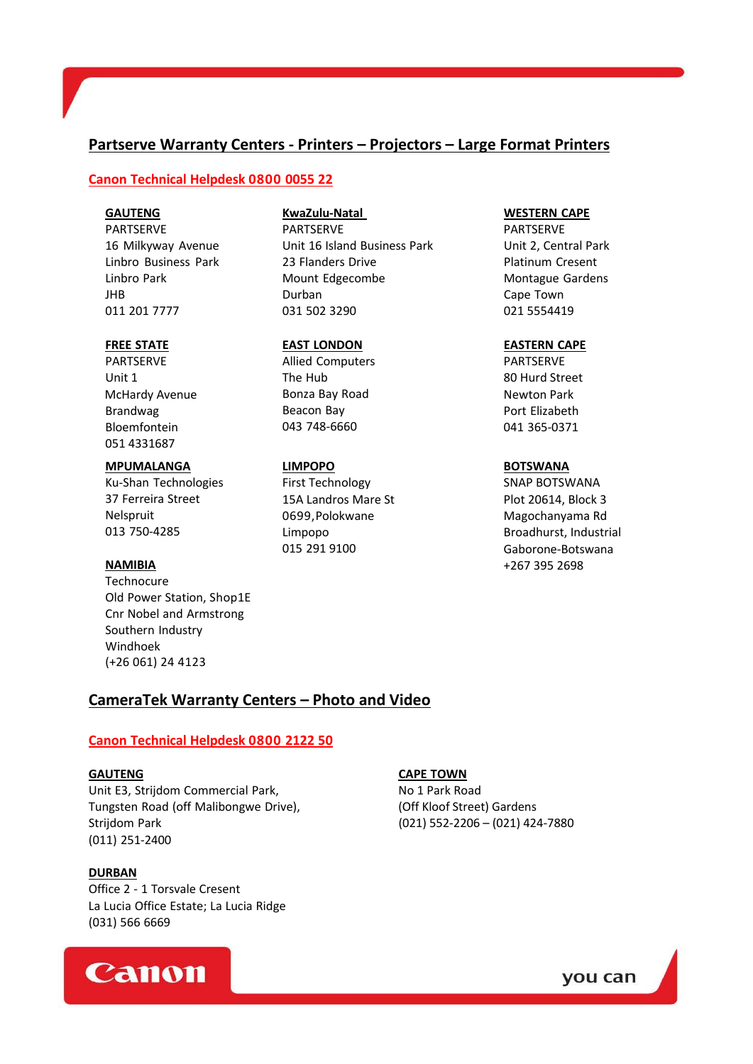# **Partserve Warranty Centers ‐ Printers – Projectors – Large Format Printers**

# **Canon Technical Helpdesk 0800 0055 22**

### **GAUTENG**

PARTSERVE 16 Milkyway Avenue Linbro Business Park Linbro Park JHB 011 201 7777

### **FREE STATE**

PARTSERVE Unit 1 McHardy Avenue Brandwag Bloemfontein 051 4331687

#### **MPUMALANGA**

Ku‐Shan Technologies 37 Ferreira Street Nelspruit 013 750‐4285

#### **NAMIBIA**

**Technocure** Old Power Station, Shop1E Cnr Nobel and Armstrong Southern Industry Windhoek (+26 061) 24 4123

# **KwaZulu‐Natal**

PARTSERVE Unit 16 Island Business Park 23 Flanders Drive Mount Edgecombe Durban 031 502 3290

#### **EAST LONDON**

Allied Computers The Hub Bonza Bay Road Beacon Bay 043 748‐6660

#### **LIMPOPO**

First Technology 15A Landros Mare St 0699,Polokwane Limpopo 015 291 9100

#### **WESTERN CAPE**

PARTSERVE Unit 2, Central Park Platinum Cresent Montague Gardens Cape Town 021 5554419

### **EASTERN CAPE**

PARTSERVE 80 Hurd Street Newton Park Port Elizabeth 041 365‐0371

#### **BOTSWANA**

SNAP BOTSWANA Plot 20614, Block 3 Magochanyama Rd Broadhurst, Industrial Gaborone‐Botswana +267 395 2698

# **CameraTek Warranty Centers – Photo and Video**

# **Canon Technical Helpdesk 0800 2122 50**

Unit E3, Strijdom Commercial Park, No 1 Park Road Tungsten Road (off Malibongwe Drive), **Frankling Constructs** (Off Kloof Street) Gardens Strijdom Park (021) 552‐2206 – (021) 424‐7880 (011) 251‐2400

#### **DURBAN**

Office 2 ‐ 1 Torsvale Cresent La Lucia Office Estate; La Lucia Ridge (031) 566 6669

# Canon

# **GAUTENG CAPE TOWN**

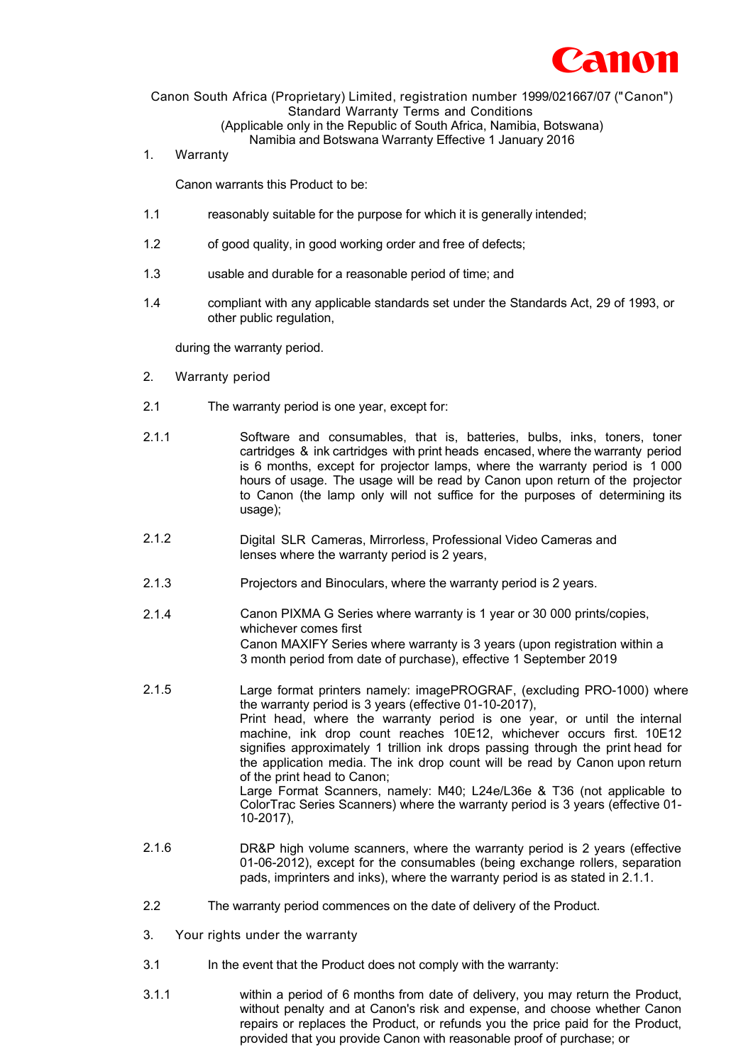

Canon South Africa (Proprietary) Limited, registration number 1999/021667/07 (" Canon") Standard Warranty Terms and Conditions (Applicable only in the Republic of South Africa, Namibia, Botswana)

Namibia and Botswana Warranty Effective 1 January 2016

1. Warranty

Canon warrants this Product to be:

- 1.1 reasonably suitable for the purpose for which it is generally intended;
- 1.2 of good quality, in good working order and free of defects;
- 1.3 usable and durable for a reasonable period of time; and
- 1.4 compliant with any applicable standards set under the Standards Act, 29 of 1993, or other public regulation,

during the warranty period.

- 2. Warranty period
- 2.1 The warranty period is one year, except for:
- 2.1.1 Software and consumables, that is, batteries, bulbs, inks, toners, toner cartridges & ink cartridges with print heads encased, where the warranty period is 6 months, except for projector lamps, where the warranty period is 1 000 hours of usage. The usage will be read by Canon upon return of the projector to Canon (the lamp only will not suffice for the purposes of determining its usage);
- 2.1.2 Digital SLR Cameras, Mirrorless, Professional Video Cameras and lenses where the warranty period is 2 years,
- 2.1.3 Projectors and Binoculars, where the warranty period is 2 years.
- 2.1.4 Canon PIXMA G Series where warranty is 1 year or 30 000 prints/copies, whichever comes first Canon MAXIFY Series where warranty is 3 years (upon registration within a 3 month period from date of purchase), effective 1 September 2019
- 2.1.5 Large format printers namely: imagePROGRAF, (excluding PRO-1000) where the warranty period is 3 years (effective 01-10-2017), Print head, where the warranty period is one year, or until the internal machine, ink drop count reaches 10E12, whichever occurs first. 10E12 signifies approximately 1 trillion ink drops passing through the print head for the application media. The ink drop count will be read by Canon upon return of the print head to Canon; Large Format Scanners, namely: M40; L24e/L36e & T36 (not applicable to ColorTrac Series Scanners) where the warranty period is 3 years (effective 01- 10-2017),
- 2.1.6 DR&P high volume scanners, where the warranty period is 2 years (effective 01-06-2012), except for the consumables (being exchange rollers, separation pads, imprinters and inks), where the warranty period is as stated in 2.1.1.
- 2.2 The warranty period commences on the date of delivery of the Product.
- 3. Your rights under the warranty
- 3.1 In the event that the Product does not comply with the warranty:
- 3.1.1 within a period of 6 months from date of delivery, you may return the Product, without penalty and at Canon's risk and expense, and choose whether Canon repairs or replaces the Product, or refunds you the price paid for the Product, provided that you provide Canon with reasonable proof of purchase; or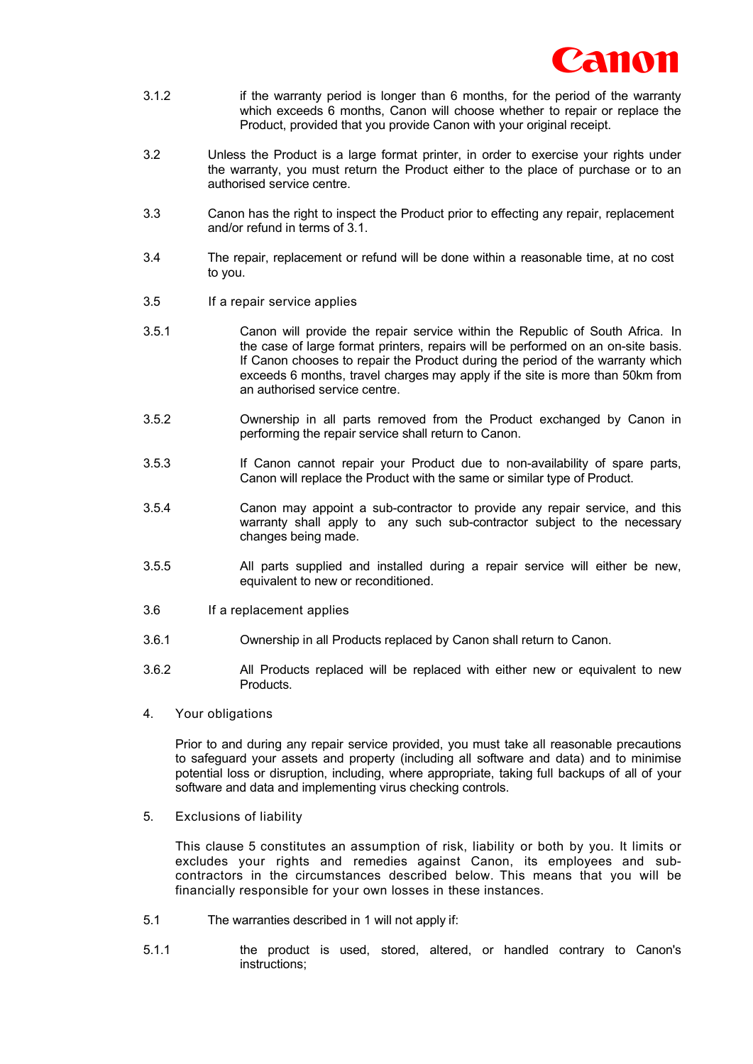

- 3.1.2 if the warranty period is longer than 6 months, for the period of the warranty which exceeds 6 months, Canon will choose whether to repair or replace the Product, provided that you provide Canon with your original receipt.
- 3.2 Unless the Product is a large format printer, in order to exercise your rights under the warranty, you must return the Product either to the place of purchase or to an authorised service centre.
- 3.3 Canon has the right to inspect the Product prior to effecting any repair, replacement and/or refund in terms of 3.1.
- 3.4 The repair, replacement or refund will be done within a reasonable time, at no cost to you.
- 3.5 If a repair service applies
- 3.5.1 Canon will provide the repair service within the Republic of South Africa. In the case of large format printers, repairs will be performed on an on-site basis. If Canon chooses to repair the Product during the period of the warranty which exceeds 6 months, travel charges may apply if the site is more than 50km from an authorised service centre.
- 3.5.2 Ownership in all parts removed from the Product exchanged by Canon in performing the repair service shall return to Canon.
- 3.5.3 If Canon cannot repair your Product due to non-availability of spare parts, Canon will replace the Product with the same or similar type of Product.
- 3.5.4 Canon may appoint a sub-contractor to provide any repair service, and this warranty shall apply to any such sub-contractor subject to the necessary changes being made.
- 3.5.5 All parts supplied and installed during a repair service will either be new, equivalent to new or reconditioned.
- 3.6 If a replacement applies
- 3.6.1 Ownership in all Products replaced by Canon shall return to Canon.
- 3.6.2 All Products replaced will be replaced with either new or equivalent to new Products.
- 4. Your obligations

Prior to and during any repair service provided, you must take all reasonable precautions to safeguard your assets and property (including all software and data) and to minimise potential loss or disruption, including, where appropriate, taking full backups of all of your software and data and implementing virus checking controls.

5. Exclusions of liability

This clause 5 constitutes an assumption of risk, liability or both by you. It limits or excludes your rights and remedies against Canon, its employees and subcontractors in the circumstances described below. This means that you will be financially responsible for your own losses in these instances.

- 5.1 The warranties described in 1 will not apply if:
- 5.1.1 the product is used, stored, altered, or handled contrary to Canon's instructions;